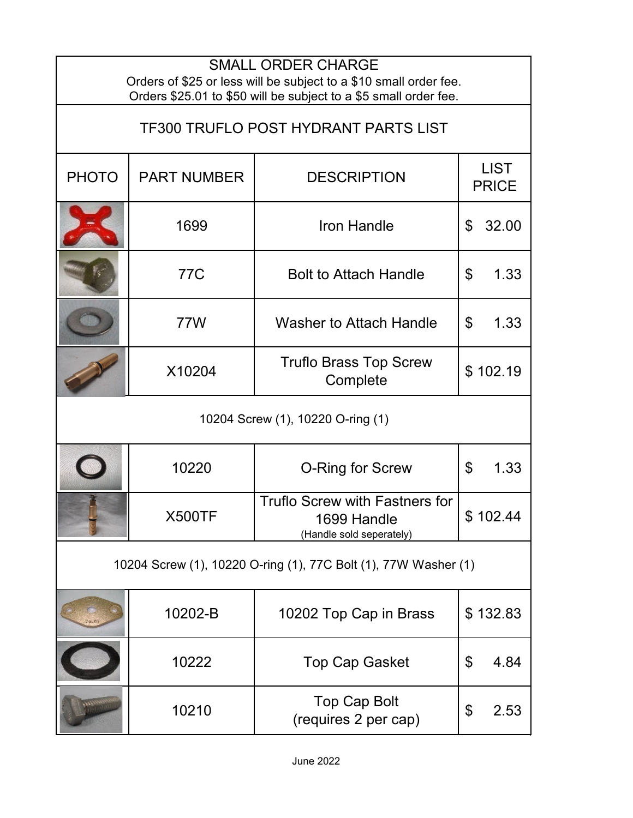| <b>SMALL ORDER CHARGE</b><br>Orders of \$25 or less will be subject to a \$10 small order fee.<br>Orders \$25.01 to \$50 will be subject to a \$5 small order fee. |                    |                                                                                  |                                   |  |  |
|--------------------------------------------------------------------------------------------------------------------------------------------------------------------|--------------------|----------------------------------------------------------------------------------|-----------------------------------|--|--|
| <b>TF300 TRUFLO POST HYDRANT PARTS LIST</b>                                                                                                                        |                    |                                                                                  |                                   |  |  |
| <b>PHOTO</b>                                                                                                                                                       | <b>PART NUMBER</b> | <b>DESCRIPTION</b>                                                               | <b>LIST</b><br><b>PRICE</b>       |  |  |
|                                                                                                                                                                    | 1699               | <b>Iron Handle</b>                                                               | \$<br>32.00                       |  |  |
|                                                                                                                                                                    | <b>77C</b>         | <b>Bolt to Attach Handle</b>                                                     | 1.33<br>\$                        |  |  |
|                                                                                                                                                                    | 77W                | <b>Washer to Attach Handle</b>                                                   | \$<br>1.33                        |  |  |
|                                                                                                                                                                    | X10204             | <b>Truflo Brass Top Screw</b><br>Complete                                        | \$102.19                          |  |  |
| 10204 Screw (1), 10220 O-ring (1)                                                                                                                                  |                    |                                                                                  |                                   |  |  |
|                                                                                                                                                                    | 10220              | O-Ring for Screw                                                                 | $\boldsymbol{\mathsf{S}}$<br>1.33 |  |  |
|                                                                                                                                                                    | <b>X500TF</b>      | <b>Truflo Screw with Fastners for</b><br>1699 Handle<br>(Handle sold seperately) | \$102.44                          |  |  |
| 10204 Screw (1), 10220 O-ring (1), 77C Bolt (1), 77W Washer (1)                                                                                                    |                    |                                                                                  |                                   |  |  |
|                                                                                                                                                                    | 10202-B            | 10202 Top Cap in Brass                                                           | \$132.83                          |  |  |
|                                                                                                                                                                    | 10222              | <b>Top Cap Gasket</b>                                                            | \$<br>4.84                        |  |  |
|                                                                                                                                                                    | 10210              | Top Cap Bolt<br>(requires 2 per cap)                                             | \$<br>2.53                        |  |  |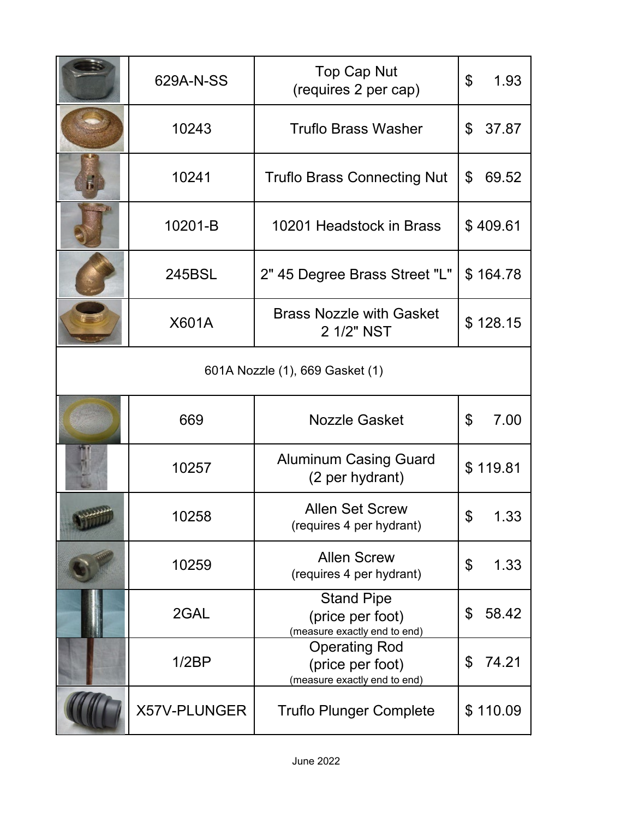|                                 | 629A-N-SS    | <b>Top Cap Nut</b><br>(requires 2 per cap)                               | \$<br>1.93  |  |  |
|---------------------------------|--------------|--------------------------------------------------------------------------|-------------|--|--|
|                                 | 10243        | <b>Truflo Brass Washer</b>                                               | \$<br>37.87 |  |  |
| F.                              | 10241        | <b>Truflo Brass Connecting Nut</b>                                       | 69.52<br>\$ |  |  |
|                                 | 10201-B      | 10201 Headstock in Brass                                                 | \$409.61    |  |  |
|                                 | 245BSL       | 2" 45 Degree Brass Street "L"                                            | \$164.78    |  |  |
|                                 | <b>X601A</b> | <b>Brass Nozzle with Gasket</b><br>2 1/2" NST                            | \$128.15    |  |  |
| 601A Nozzle (1), 669 Gasket (1) |              |                                                                          |             |  |  |
|                                 | 669          | <b>Nozzle Gasket</b>                                                     | \$<br>7.00  |  |  |
|                                 | 10257        | <b>Aluminum Casing Guard</b><br>(2 per hydrant)                          | \$119.81    |  |  |
|                                 | 10258        | <b>Allen Set Screw</b><br>(requires 4 per hydrant)                       | \$<br>1.33  |  |  |
|                                 | 10259        | <b>Allen Screw</b><br>(requires 4 per hydrant)                           | \$<br>1.33  |  |  |
|                                 | 2GAL         | <b>Stand Pipe</b><br>(price per foot)<br>(measure exactly end to end)    | \$<br>58.42 |  |  |
|                                 | 1/2BP        | <b>Operating Rod</b><br>(price per foot)<br>(measure exactly end to end) | 74.21<br>\$ |  |  |
|                                 | X57V-PLUNGER | <b>Truflo Plunger Complete</b>                                           | \$110.09    |  |  |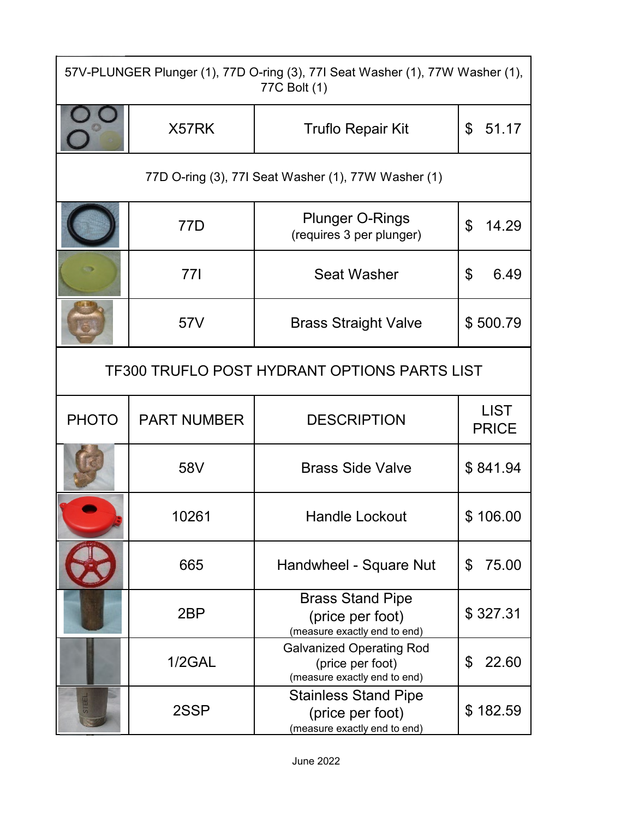| 57V-PLUNGER Plunger (1), 77D O-ring (3), 77I Seat Washer (1), 77W Washer (1),<br>77C Bolt (1) |                    |                                                                             |                             |  |  |
|-----------------------------------------------------------------------------------------------|--------------------|-----------------------------------------------------------------------------|-----------------------------|--|--|
|                                                                                               | X57RK              | <b>Truflo Repair Kit</b>                                                    | $\mathfrak{L}$<br>51.17     |  |  |
| 77D O-ring (3), 77I Seat Washer (1), 77W Washer (1)                                           |                    |                                                                             |                             |  |  |
|                                                                                               | 77D                | <b>Plunger O-Rings</b><br>(requires 3 per plunger)                          | \$<br>14.29                 |  |  |
|                                                                                               | 771                | <b>Seat Washer</b>                                                          | \$<br>6.49                  |  |  |
|                                                                                               | 57V                | <b>Brass Straight Valve</b>                                                 | \$500.79                    |  |  |
| <b>TF300 TRUFLO POST HYDRANT OPTIONS PARTS LIST</b>                                           |                    |                                                                             |                             |  |  |
| <b>PHOTO</b>                                                                                  | <b>PART NUMBER</b> | <b>DESCRIPTION</b>                                                          | <b>LIST</b><br><b>PRICE</b> |  |  |
|                                                                                               | 58V                | <b>Brass Side Valve</b>                                                     | \$841.94                    |  |  |
|                                                                                               | 10261              | Handle Lockout                                                              | \$106.00                    |  |  |
|                                                                                               | 665                | Handwheel - Square Nut                                                      | 75.00<br>\$                 |  |  |
|                                                                                               | 2 <sub>BP</sub>    | <b>Brass Stand Pipe</b><br>(price per foot)<br>(measure exactly end to end) | \$327.31                    |  |  |
|                                                                                               |                    | <b>Galvanized Operating Rod</b>                                             |                             |  |  |
|                                                                                               | $1/2$ GAL          | (price per foot)<br>(measure exactly end to end)                            | 22.60<br>\$                 |  |  |